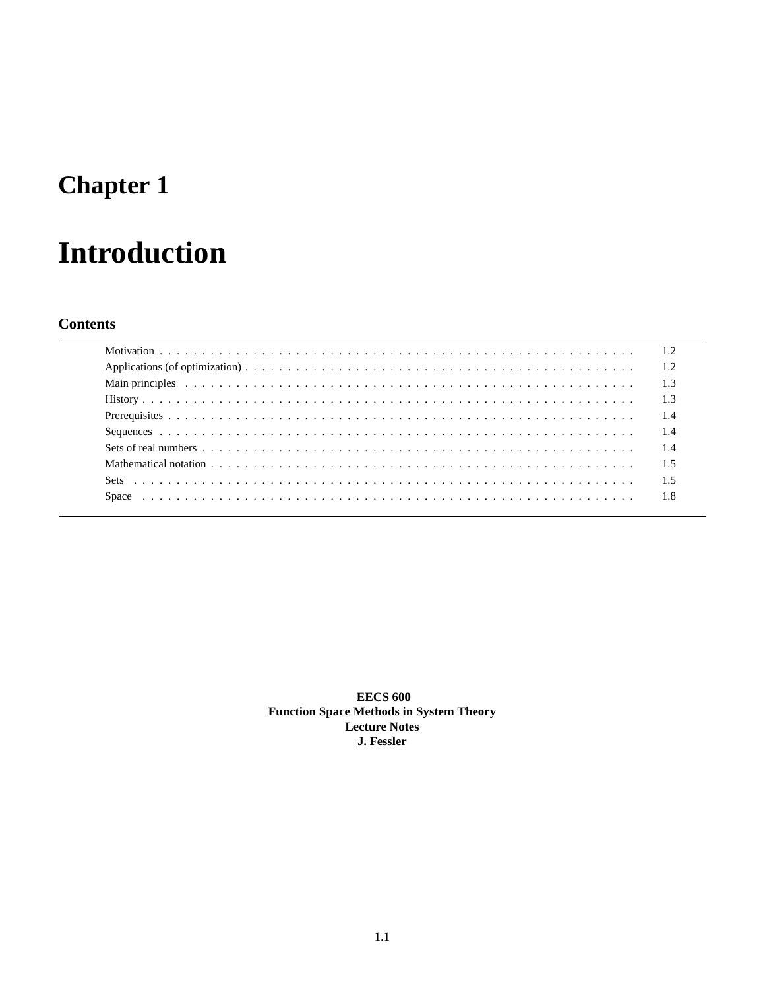# **Chapter 1**

# **Introduction**

## **Contents**

|                                                                                                                                                                                                                                | 1.2 |
|--------------------------------------------------------------------------------------------------------------------------------------------------------------------------------------------------------------------------------|-----|
| Main principles because the contract of the contract of the contract of the contract of the contract of the contract of the contract of the contract of the contract of the contract of the contract of the contract of the co | 1.3 |
|                                                                                                                                                                                                                                | 1.3 |
|                                                                                                                                                                                                                                | 1.4 |
|                                                                                                                                                                                                                                | 1.4 |
|                                                                                                                                                                                                                                | 1.4 |
|                                                                                                                                                                                                                                | 1.5 |
|                                                                                                                                                                                                                                | 1.5 |
|                                                                                                                                                                                                                                | 1.8 |

**EECS 600 Function Space Methods in System Theory Lecture Notes** J. Fessler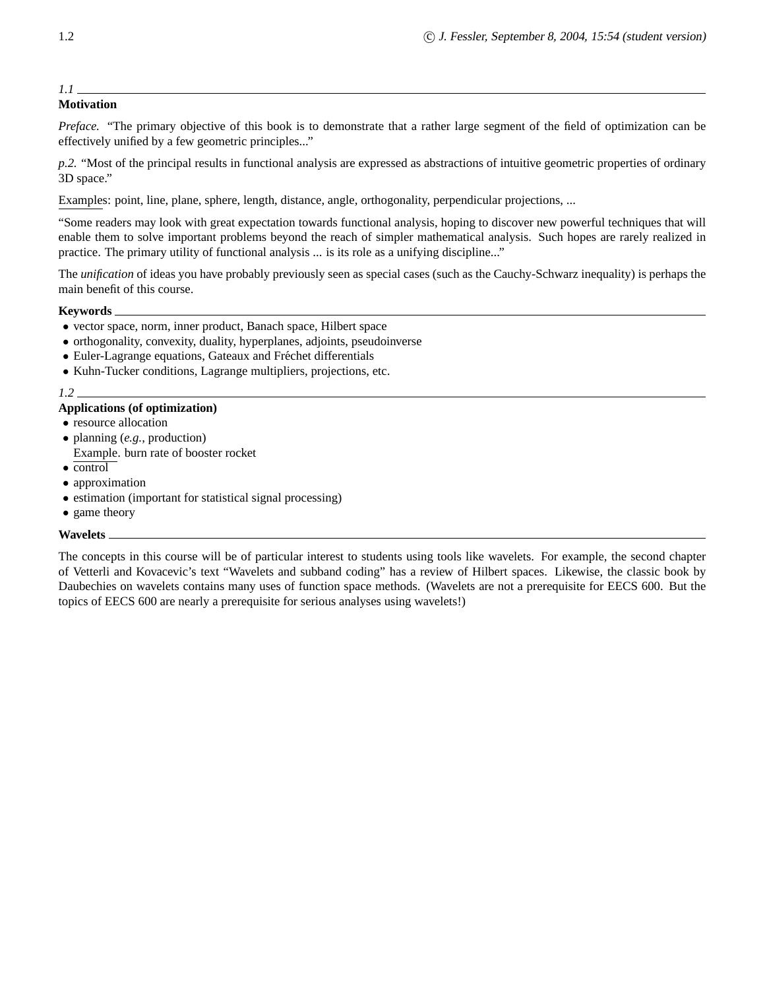### *1.1*

#### **Motivation**

*Preface.* "The primary objective of this book is to demonstrate that a rather large segment of the field of optimization can be effectively unified by a few geometric principles..."

*p.2.* "Most of the principal results in functional analysis are expressed as abstractions of intuitive geometric properties of ordinary 3D space."

Examples: point, line, plane, sphere, length, distance, angle, orthogonality, perpendicular projections, ...

"Some readers may look with great expectation towards functional analysis, hoping to discover new powerful techniques that will enable them to solve important problems beyond the reach of simpler mathematical analysis. Such hopes are rarely realized in practice. The primary utility of functional analysis ... is its role as a unifying discipline..."

The *unification* of ideas you have probably previously seen as special cases (such as the Cauchy-Schwarz inequality) is perhaps the main benefit of this course.

#### **Keywords**

- vector space, norm, inner product, Banach space, Hilbert space
- orthogonality, convexity, duality, hyperplanes, adjoints, pseudoinverse
- Euler-Lagrange equations, Gateaux and Fréchet differentials
- Kuhn-Tucker conditions, Lagrange multipliers, projections, etc.

#### *1.2*

#### **Applications (of optimization)**

- resource allocation
- planning (*e.g.*, production) Example. burn rate of booster rocket
- control
- approximation
- estimation (important for statistical signal processing)
- game theory

#### **Wavelets**

The concepts in this course will be of particular interest to students using tools like wavelets. For example, the second chapter of Vetterli and Kovacevic's text "Wavelets and subband coding" has a review of Hilbert spaces. Likewise, the classic book by Daubechies on wavelets contains many uses of function space methods. (Wavelets are not a prerequisite for EECS 600. But the topics of EECS 600 are nearly a prerequisite for serious analyses using wavelets!)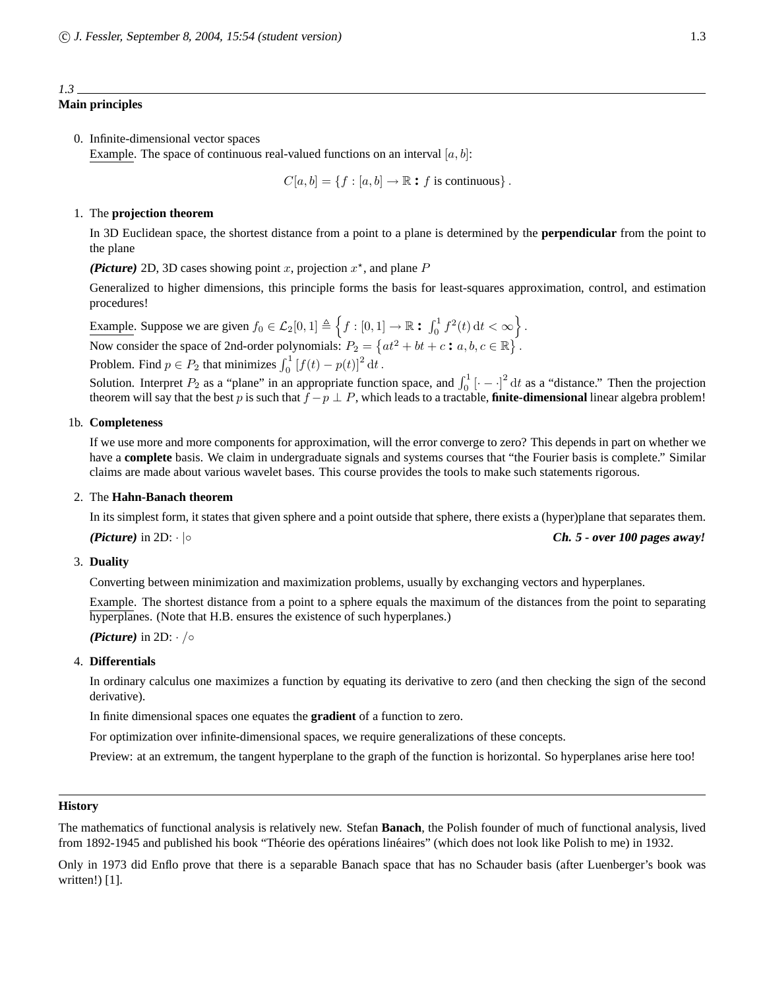# *1.3*

## **Main principles**

0. Infinite-dimensional vector spaces Example. The space of continuous real-valued functions on an interval  $[a, b]$ :

$$
C[a, b] = \{f : [a, b] \to \mathbb{R} : f \text{ is continuous}\}.
$$

#### 1. The **projection theorem**

In 3D Euclidean space, the shortest distance from a point to a plane is determined by the **perpendicular** from the point to the plane

(**Picture**) 2D, 3D cases showing point x, projection  $x^*$ , and plane  $P$ 

Generalized to higher dimensions, this principle forms the basis for least-squares approximation, control, and estimation procedures!

Example. Suppose we are given  $f_0 \in \mathcal{L}_2[0,1] \triangleq \left\{ f : [0,1] \to \mathbb{R} : \int_0^1 f^2(t) dt < \infty \right\}$ . Now consider the space of 2nd-order polynomials:  $P_2 = \{at^2 + bt + c : a, b, c \in \mathbb{R}\}.$ Problem. Find  $p \in P_2$  that minimizes  $\int_0^1 [f(t) - p(t)]^2 dt$ .

Solution. Interpret  $P_2$  as a "plane" in an appropriate function space, and  $\int_0^1$   $\left[\cdot - \cdot\right]^2 dt$  as a "distance." Then the projection theorem will say that the best p is such that  $f - p \perp P$ , which leads to a tractable, **finite-dimensional** linear algebra problem!

#### 1b. **Completeness**

If we use more and more components for approximation, will the error converge to zero? This depends in part on whether we have a **complete** basis. We claim in undergraduate signals and systems courses that "the Fourier basis is complete." Similar claims are made about various wavelet bases. This course provides the tools to make such statements rigorous.

#### 2. The **Hahn-Banach theorem**

In its simplest form, it states that given sphere and a point outside that sphere, there exists a (hyper)plane that separates them. **(Picture**) in 2D: ⋅ |◦ **ch. 5 cover 100 pages away!** 

#### 3. **Duality**

Converting between minimization and maximization problems, usually by exchanging vectors and hyperplanes.

Example. The shortest distance from a point to a sphere equals the maximum of the distances from the point to separating hyperplanes. (Note that H.B. ensures the existence of such hyperplanes.)

**(Picture)** in 2D: · /◦

#### 4. **Differentials**

In ordinary calculus one maximizes a function by equating its derivative to zero (and then checking the sign of the second derivative).

In finite dimensional spaces one equates the **gradient** of a function to zero.

For optimization over infinite-dimensional spaces, we require generalizations of these concepts.

Preview: at an extremum, the tangent hyperplane to the graph of the function is horizontal. So hyperplanes arise here too!

#### **History**

The mathematics of functional analysis is relatively new. Stefan **Banach**, the Polish founder of much of functional analysis, lived from 1892-1945 and published his book "Théorie des opérations linéaires" (which does not look like Polish to me) in 1932.

Only in 1973 did Enflo prove that there is a separable Banach space that has no Schauder basis (after Luenberger's book was written!) [1].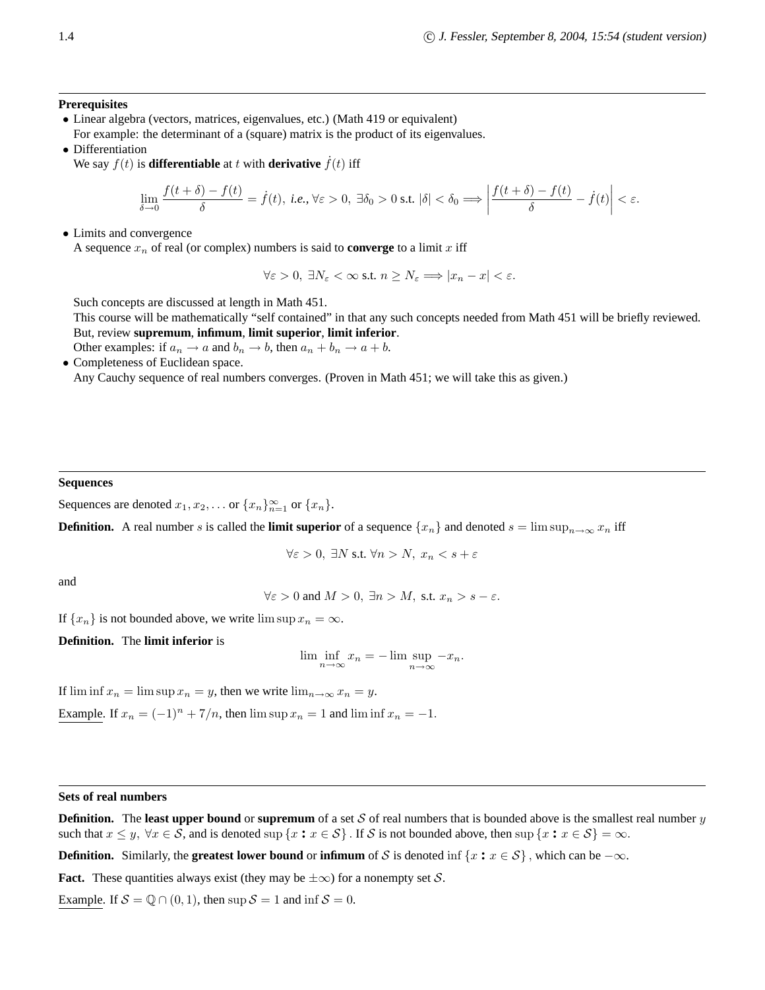#### **Prerequisites**

- Linear algebra (vectors, matrices, eigenvalues, etc.) (Math 419 or equivalent) For example: the determinant of a (square) matrix is the product of its eigenvalues.
- Differentiation

We say  $f(t)$  is **differentiable** at t with **derivative**  $\dot{f}(t)$  iff

$$
\lim_{\delta \to 0} \frac{f(t+\delta)-f(t)}{\delta} = \dot{f}(t), \text{ i.e., } \forall \varepsilon > 0, \exists \delta_0 > 0 \text{ s.t. } |\delta| < \delta_0 \Longrightarrow \left| \frac{f(t+\delta)-f(t)}{\delta} - \dot{f}(t) \right| < \varepsilon.
$$

• Limits and convergence

A sequence  $x_n$  of real (or complex) numbers is said to **converge** to a limit x iff

$$
\forall \varepsilon > 0, \ \exists N_{\varepsilon} < \infty \ \text{s.t.} \ n \ge N_{\varepsilon} \Longrightarrow |x_n - x| < \varepsilon.
$$

Such concepts are discussed at length in Math 451.

This course will be mathematically "self contained" in that any such concepts needed from Math 451 will be briefly reviewed. But, review **supremum**, **infimum**, **limit superior**, **limit inferior**.

Other examples: if  $a_n \to a$  and  $b_n \to b$ , then  $a_n + b_n \to a + b$ . • Completeness of Euclidean space.

Any Cauchy sequence of real numbers converges. (Proven in Math 451; we will take this as given.)

#### **Sequences**

Sequences are denoted  $x_1, x_2, \ldots$  or  $\{x_n\}_{n=1}^{\infty}$  or  $\{x_n\}$ .

**Definition.** A real number s is called the **limit superior** of a sequence  $\{x_n\}$  and denoted  $s = \limsup_{n \to \infty} x_n$  iff

 $\forall \varepsilon > 0$ ,  $\exists N \text{ s.t. } \forall n > N, x_n < s + \varepsilon$ 

and

$$
\forall \varepsilon > 0 \text{ and } M > 0, \exists n > M, \text{ s.t. } x_n > s - \varepsilon.
$$

If  $\{x_n\}$  is not bounded above, we write  $\limsup x_n = \infty$ .

**Definition.** The **limit inferior** is

$$
\liminf_{n \to \infty} x_n = -\limsup_{n \to \infty} -x_n.
$$

If  $\liminf x_n = \limsup x_n = y$ , then we write  $\lim_{n \to \infty} x_n = y$ . Example. If  $x_n = (-1)^n + 7/n$ , then  $\limsup x_n = 1$  and  $\liminf x_n = -1$ .

#### **Sets of real numbers**

**Definition.** The **least upper bound** or **supremum** of a set  $S$  of real numbers that is bounded above is the smallest real number  $y$ such that  $x \leq y$ ,  $\forall x \in S$ , and is denoted sup  $\{x : x \in S\}$ . If S is not bounded above, then sup  $\{x : x \in S\} = \infty$ .

**Definition.** Similarly, the **greatest lower bound** or **infimum** of S is denoted inf  $\{x : x \in S\}$ , which can be  $-\infty$ .

**Fact.** These quantities always exist (they may be  $\pm \infty$ ) for a nonempty set S.

Example. If  $S = \mathbb{Q} \cap (0, 1)$ , then sup  $S = 1$  and inf  $S = 0$ .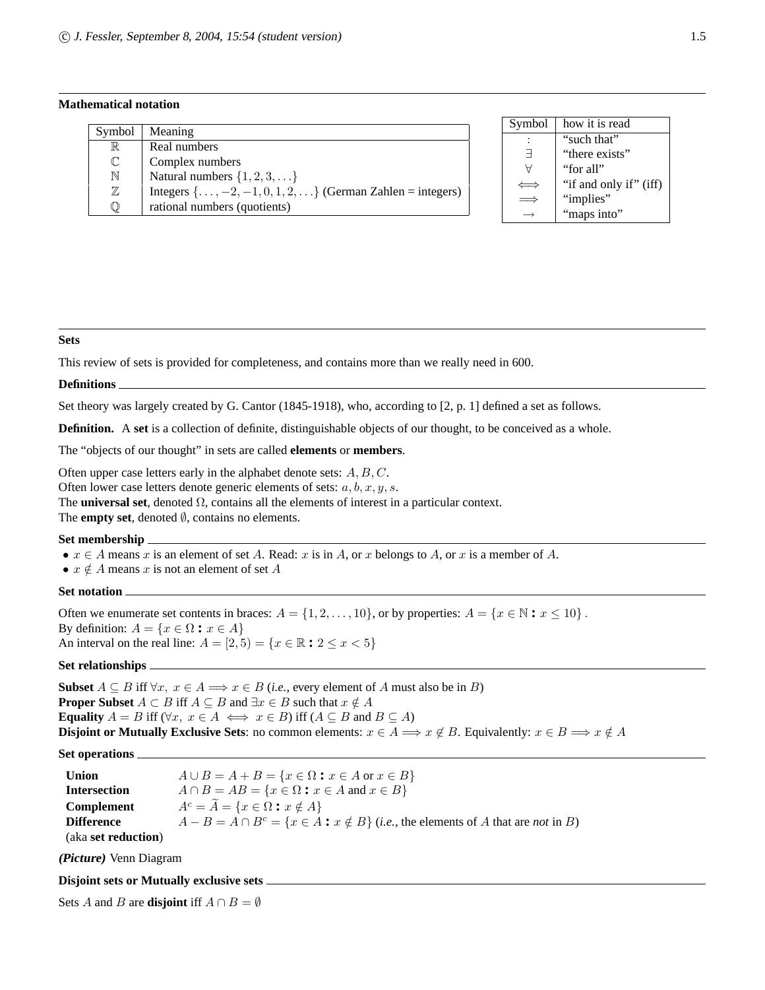#### **Mathematical notation**

| Symbol       | Meaning                                                                     |
|--------------|-----------------------------------------------------------------------------|
| $\mathbb R$  | Real numbers                                                                |
| $\mathbb{C}$ | Complex numbers                                                             |
| N            | Natural numbers $\{1, 2, 3, \ldots\}$                                       |
| $\mathbb Z$  | Integers $\{ \ldots, -2, -1, 0, 1, 2, \ldots \}$ (German Zahlen = integers) |
| $\mathbb O$  | rational numbers (quotients)                                                |

| Symbol | how it is read         |
|--------|------------------------|
|        | "such that"            |
| ㅋ      | "there exists"         |
|        | "for all"              |
|        | "if and only if" (iff) |
|        | "implies"              |
|        | "maps into"            |

#### **Sets**

This review of sets is provided for completeness, and contains more than we really need in 600.

#### **Definitions**

Set theory was largely created by G. Cantor (1845-1918), who, according to [2, p. 1] defined a set as follows.

**Definition.** A **set** is a collection of definite, distinguishable objects of our thought, to be conceived as a whole.

The "objects of our thought" in sets are called **elements** or **members**.

Often upper case letters early in the alphabet denote sets:  $A, B, C$ .

Often lower case letters denote generic elements of sets:  $a, b, x, y, s$ .

The **universal set**, denoted Ω, contains all the elements of interest in a particular context.

The **empty set**, denoted  $\emptyset$ , contains no elements.

#### **Set membership**

- $x \in A$  means x is an element of set A. Read: x is in A, or x belongs to A, or x is a member of A.
- $x \notin A$  means x is not an element of set A

#### **Set notation**

Often we enumerate set contents in braces:  $A = \{1, 2, \ldots, 10\}$ , or by properties:  $A = \{x \in \mathbb{N} : x \le 10\}$ . By definition:  $A = \{x \in \Omega : x \in A\}$ An interval on the real line:  $A = [2, 5) = \{x \in \mathbb{R} : 2 \le x < 5\}$ 

#### **Set relationships**

**Subset**  $A \subseteq B$  iff  $\forall x, x \in A \Longrightarrow x \in B$  (*i.e.*, every element of A must also be in B) **Proper Subset**  $A \subset B$  iff  $A \subseteq B$  and  $\exists x \in B$  such that  $x \notin A$ **Equality**  $A = B$  iff  $(\forall x, x \in A \iff x \in B)$  iff  $(A \subseteq B \text{ and } B \subseteq A)$ **Disjoint or Mutually Exclusive Sets**: no common elements:  $x \in A \implies x \notin B$ . Equivalently:  $x \in B \implies x \notin A$ 

#### **Set operations**

| <b>Union</b>                | $A \cup B = A + B = \{x \in \Omega : x \in A \text{ or } x \in B\}$                                         |
|-----------------------------|-------------------------------------------------------------------------------------------------------------|
| <b>Intersection</b>         | $A \cap B = AB = \{x \in \Omega : x \in A \text{ and } x \in B\}$                                           |
| <b>Complement</b>           | $A^c = \overline{A} = \{x \in \Omega : x \notin A\}$                                                        |
| <b>Difference</b>           | $A - B = A \cap B^c = \{x \in A : x \notin B\}$ ( <i>i.e.</i> , the elements of A that are <i>not</i> in B) |
| (aka <b>set reduction</b> ) |                                                                                                             |

**(Picture)** Venn Diagram

#### **Disjoint sets or Mutually exclusive sets**

Sets A and B are **disjoint** iff  $A \cap B = \emptyset$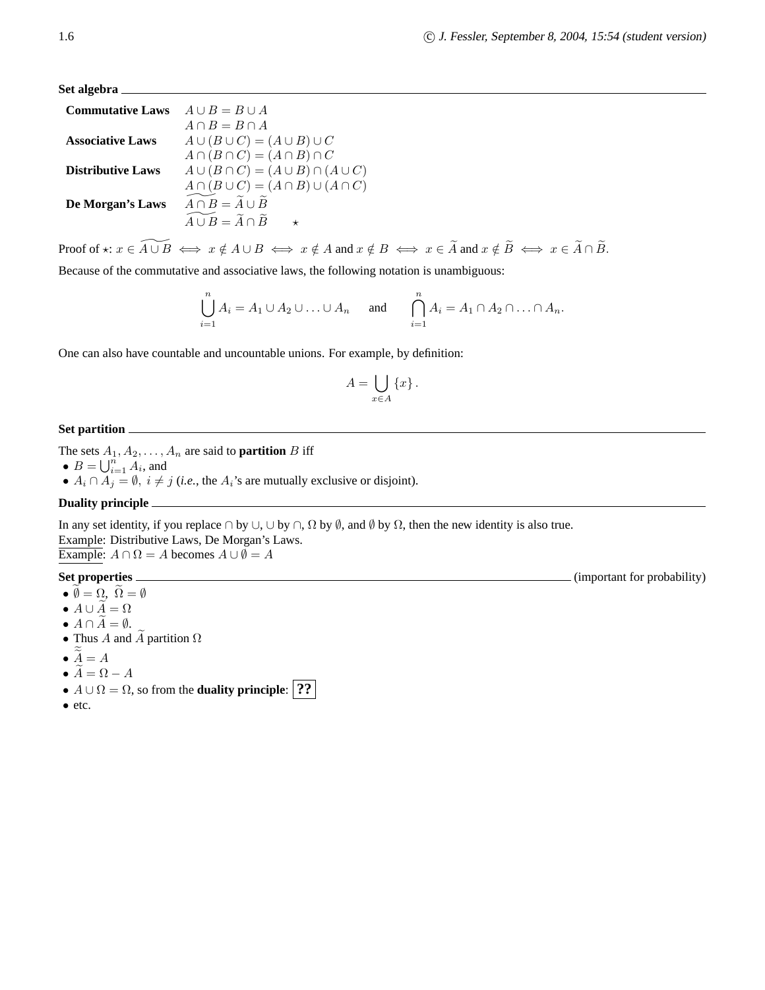**Set algebra**

| <b>Commutative Laws</b>  | $A \cup B = B \cup A$                                     |
|--------------------------|-----------------------------------------------------------|
|                          | $A \cap B = B \cap A$                                     |
| <b>Associative Laws</b>  | $A \cup (B \cup C) = (A \cup B) \cup C$                   |
|                          | $A \cap (B \cap C) = (A \cap B) \cap C$                   |
| <b>Distributive Laws</b> | $A \cup (B \cap C) = (A \cup B) \cap (A \cup C)$          |
|                          | $A \cap (B \cup C) = (A \cap B) \cup (A \cap C)$          |
| De Morgan's Laws         | $\widetilde{A \cap B} = \widetilde{A} \cup \widetilde{B}$ |
|                          | $\widetilde{A \cup B} = \widetilde{A} \cap \widetilde{B}$ |
|                          |                                                           |

Proof of  $\star: x \in \widetilde{A \cup B} \iff x \notin A \cup B \iff x \notin A$  and  $x \notin B \iff x \in \widetilde{A}$  and  $x \notin \widetilde{B} \iff x \in \widetilde{A} \cap \widetilde{B}$ .

Because of the commutative and associative laws, the following notation is unambiguous:

$$
\bigcup_{i=1}^{n} A_i = A_1 \cup A_2 \cup \ldots \cup A_n \quad \text{and} \quad \bigcap_{i=1}^{n} A_i = A_1 \cap A_2 \cap \ldots \cap A_n.
$$

One can also have countable and uncountable unions. For example, by definition:

$$
A = \bigcup_{x \in A} \{x\}.
$$

#### **Set partition**

The sets  $A_1, A_2, \ldots, A_n$  are said to **partition** B iff

- $B = \bigcup_{i=1}^{n} A_i$ , and
- $A_i \cap \overline{A_j} = \emptyset$ ,  $i \neq j$  (*i.e.*, the  $A_i$ 's are mutually exclusive or disjoint).

#### **Duality principle**

In any set identity, if you replace  $\cap$  by  $\cup$ ,  $\cup$  by  $\cap$ ,  $\Omega$  by  $\emptyset$ , and  $\emptyset$  by  $\Omega$ , then the new identity is also true.

Example: Distributive Laws, De Morgan's Laws. Example:  $A \cap \Omega = A$  becomes  $A \cup \emptyset = A$ 

#### **Set properties** (important for probability)

- $\bullet$   $\emptyset = \Omega, \ \Omega = \emptyset$
- $A \cup \widetilde{A} = \Omega$
- $A \cap \overline{A} = \emptyset$ .
- Thus A and  $\widetilde{A}$  partition  $\Omega$
- $\bullet$   $\underline{A} = A$
- $\widetilde{A} = \Omega A$
- $A \cup \Omega = \Omega$ , so from the **duality principle**: **??**
- etc.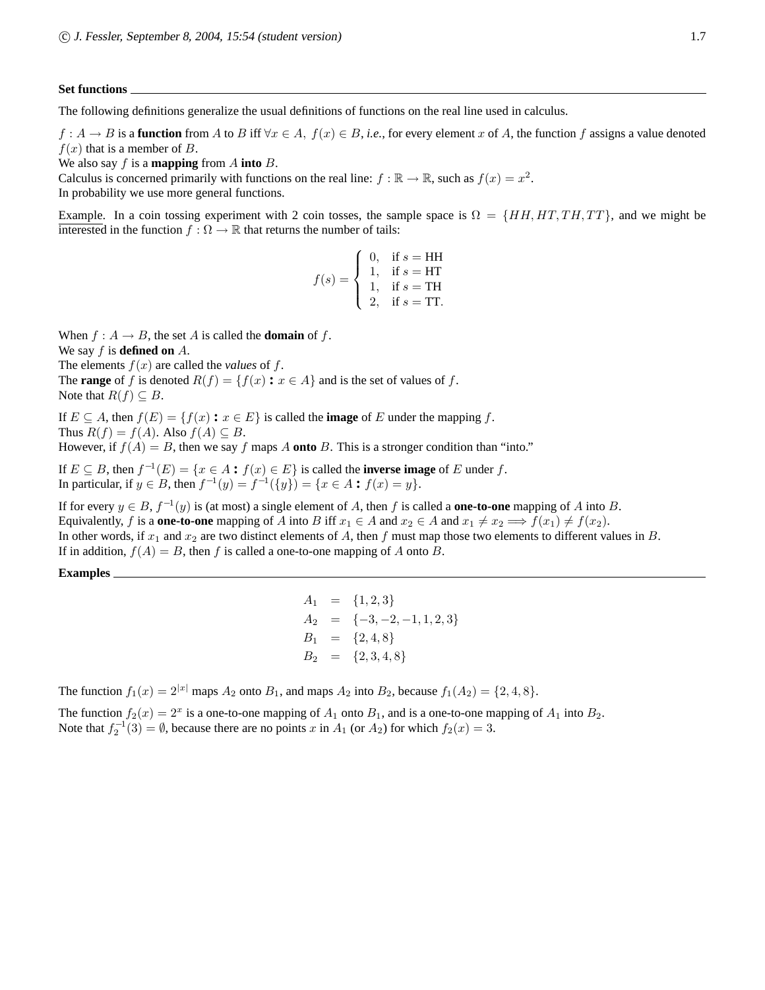#### **Set functions**

The following definitions generalize the usual definitions of functions on the real line used in calculus.

 $f: A \to B$  is a **function** from A to B iff  $\forall x \in A$ ,  $f(x) \in B$ , *i.e.*, for every element x of A, the function f assigns a value denoted  $f(x)$  that is a member of B.

We also say f is a **mapping** from A **into** B.

Calculus is concerned primarily with functions on the real line:  $f : \mathbb{R} \to \mathbb{R}$ , such as  $f(x) = x^2$ . In probability we use more general functions.

Example. In a coin tossing experiment with 2 coin tosses, the sample space is  $\Omega = \{HH, HT, TH, TT\}$ , and we might be interested in the function  $f : \Omega \to \mathbb{R}$  that returns the number of tails:

$$
f(s) = \begin{cases} 0, & \text{if } s = \text{HH} \\ 1, & \text{if } s = \text{HT} \\ 1, & \text{if } s = \text{TH} \\ 2, & \text{if } s = \text{TT}. \end{cases}
$$

When  $f : A \to B$ , the set A is called the **domain** of f.

We say f is **defined on** A.

The elements  $f(x)$  are called the *values* of  $f$ . The **range** of f is denoted  $R(f) = \{f(x) : x \in A\}$  and is the set of values of f. Note that  $R(f) \subseteq B$ .

If  $E \subseteq A$ , then  $f(E) = \{f(x) : x \in E\}$  is called the **image** of E under the mapping f. Thus  $R(f) = f(A)$ . Also  $f(A) \subseteq B$ .

However, if  $f(A) = B$ , then we say f maps A **onto** B. This is a stronger condition than "into."

If  $E \subseteq B$ , then  $f^{-1}(E) = \{x \in A : f(x) \in E\}$  is called the **inverse image** of E under f. In particular, if  $y \in B$ , then  $f^{-1}(y) = f^{-1}(\{y\}) = \{x \in A : f(x) = y\}.$ 

If for every  $y \in B$ ,  $f^{-1}(y)$  is (at most) a single element of A, then f is called a **one-to-one** mapping of A into B. Equivalently, f is a **one-to-one** mapping of A into B iff  $x_1 \in A$  and  $x_2 \in A$  and  $x_1 \neq x_2 \implies f(x_1) \neq f(x_2)$ . In other words, if  $x_1$  and  $x_2$  are two distinct elements of A, then f must map those two elements to different values in B. If in addition,  $f(A) = B$ , then f is called a one-to-one mapping of A onto B.

**Examples**

 $A_1 = \{1, 2, 3\}$  $A_2 = \{-3, -2, -1, 1, 2, 3\}$  $B_1 = \{2, 4, 8\}$  $B_2 = \{2, 3, 4, 8\}$ 

The function  $f_1(x) = 2^{|x|}$  maps  $A_2$  onto  $B_1$ , and maps  $A_2$  into  $B_2$ , because  $f_1(A_2) = \{2, 4, 8\}$ .

The function  $f_2(x) = 2^x$  is a one-to-one mapping of  $A_1$  onto  $B_1$ , and is a one-to-one mapping of  $A_1$  into  $B_2$ . Note that  $f_2^{-1}(3) = \emptyset$ , because there are no points x in  $A_1$  (or  $A_2$ ) for which  $f_2(x) = 3$ .